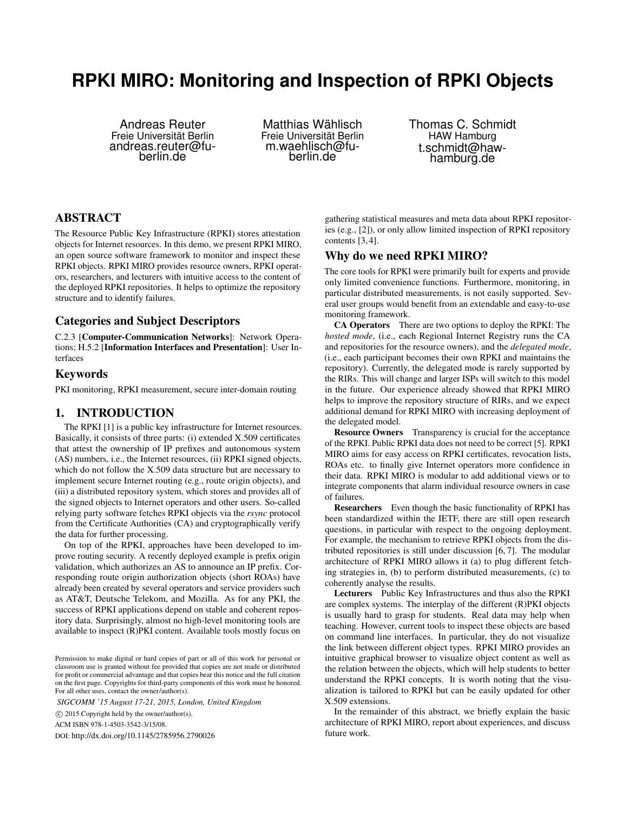# **RPKI MIRO: Monitoring and Inspection of RPKI Objects**

Andreas Reuter Freie Universität Berlin andreas.reuter@fuberlin.de

Matthias Wählisch Freie Universität Berlin m.waehlisch@fuberlin.de

Thomas C. Schmidt HAW Hamburg t.schmidt@hawhamburg.de

# ABSTRACT

The Resource Public Key Infrastructure (RPKI) stores attestation objects for Internet resources. In this demo, we present RPKI MIRO, an open source software framework to monitor and inspect these RPKI objects. RPKI MIRO provides resource owners, RPKI operators, researchers, and lecturers with intuitive access to the content of the deployed RPKI repositories. It helps to optimize the repository structure and to identify failures.

# Categories and Subject Descriptors

C.2.3 [Computer-Communication Networks]: Network Operations; H.5.2 [Information Interfaces and Presentation]: User Interfaces

#### Keywords

PKI monitoring, RPKI measurement, secure inter-domain routing

## 1. INTRODUCTION

The RPKI [1] is a public key infrastructure for Internet resources. Basically, it consists of three parts: (i) extended X.509 certificates that attest the ownership of IP prefixes and autonomous system (AS) numbers, i.e., the Internet resources, (ii) RPKI signed objects, which do not follow the X.509 data structure but are necessary to implement secure Internet routing (e.g., route origin objects), and (iii) a distributed repository system, which stores and provides all of the signed objects to Internet operators and other users. So-called relying party software fetches RPKI objects via the *rsync* protocol from the Certificate Authorities (CA) and cryptographically verify the data for further processing.

On top of the RPKI, approaches have been developed to improve routing security. A recently deployed example is prefix origin validation, which authorizes an AS to announce an IP prefix. Corresponding route origin authorization objects (short ROAs) have already been created by several operators and service providers such as AT&T, Deutsche Telekom, and Mozilla. As for any PKI, the success of RPKI applications depend on stable and coherent repository data. Surprisingly, almost no high-level monitoring tools are available to inspect (R)PKI content. Available tools mostly focus on

*SIGCOMM '15 August 17-21, 2015, London, United Kingdom*

c 2015 Copyright held by the owner/author(s).

ACM ISBN 978-1-4503-3542-3/15/08.

DOI: http://dx.doi.org/10.1145/2785956.2790026

gathering statistical measures and meta data about RPKI repositories (e.g., [2]), or only allow limited inspection of RPKI repository contents [3, 4].

#### Why do we need RPKI MIRO?

The core tools for RPKI were primarily built for experts and provide only limited convenience functions. Furthermore, monitoring, in particular distributed measurements, is not easily supported. Several user groups would benefit from an extendable and easy-to-use monitoring framework.

CA Operators There are two options to deploy the RPKI: The *hosted mode*, (i.e., each Regional Internet Registry runs the CA and repositories for the resource owners), and the *delegated mode*, (i.e., each participant becomes their own RPKI and maintains the repository). Currently, the delegated mode is rarely supported by the RIRs. This will change and larger ISPs will switch to this model in the future. Our experience already showed that RPKI MIRO helps to improve the repository structure of RIRs, and we expect additional demand for RPKI MIRO with increasing deployment of the delegated model.

Resource Owners Transparency is crucial for the acceptance of the RPKI. Public RPKI data does not need to be correct [5]. RPKI MIRO aims for easy access on RPKI certificates, revocation lists, ROAs etc. to finally give Internet operators more confidence in their data. RPKI MIRO is modular to add additional views or to integrate components that alarm individual resource owners in case of failures.

Researchers Even though the basic functionality of RPKI has been standardized within the IETF, there are still open research questions, in particular with respect to the ongoing deployment. For example, the mechanism to retrieve RPKI objects from the distributed repositories is still under discussion [6, 7]. The modular architecture of RPKI MIRO allows it (a) to plug different fetching strategies in, (b) to perform distributed measurements, (c) to coherently analyse the results.

Lecturers Public Key Infrastructures and thus also the RPKI are complex systems. The interplay of the different (R)PKI objects is usually hard to grasp for students. Real data may help when teaching. However, current tools to inspect these objects are based on command line interfaces. In particular, they do not visualize the link between different object types. RPKI MIRO provides an intuitive graphical browser to visualize object content as well as the relation between the objects, which will help students to better understand the RPKI concepts. It is worth noting that the visualization is tailored to RPKI but can be easily updated for other X.509 extensions.

In the remainder of this abstract, we briefly explain the basic architecture of RPKI MIRO, report about experiences, and discuss future work.

Permission to make digital or hard copies of part or all of this work for personal or classroom use is granted without fee provided that copies are not made or distributed for profit or commercial advantage and that copies bear this notice and the full citation on the first page. Copyrights for third-party components of this work must be honored. For all other uses, contact the owner/author(s).